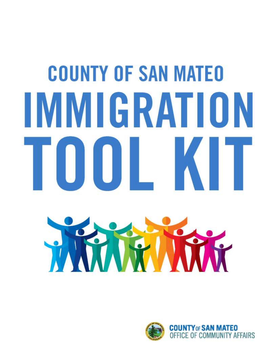# **COUNTY OF SAN MATEO** IMMIGRATION TOOL KIT



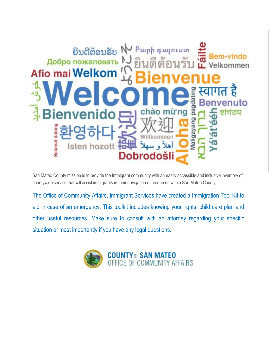

San Mateo County mission is to provide the Immigrant community with an easily accessible and inclusive inventory of countywide service that will assist immigrants in their navigation of resources within San Mateo County.

The Office of Community Affairs, Immigrant Services have created a Immigration Tool Kit to aid in case of an emergency. This toolkit includes knowing your rights, child care plan and other useful resources. Make sure to consult with an attorney regarding your specific situation or most importantly if you have any legal questions.

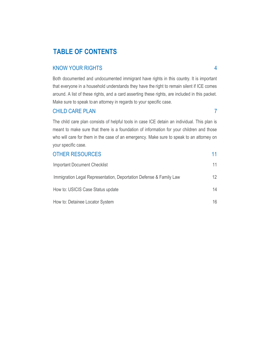# **TABLE OF CONTENTS**

#### KNOW YOUR RIGHTS 4

Both documented and undocumented immigrant have rights in this country. It is important that everyone in a household understands they have the right to remain silent if ICE comes around. A list of these rights, and a card asserting these rights, are included in this packet. Make sure to speak to an attorney in regards to your specific case.

#### CHILD CARE PLAN 7

The child care plan consists of helpful tools in case ICE detain an individual. This plan is meant to make sure that there is a foundation of information for your children and those who will care for them in the case of an emergency. Make sure to speak to an attorney on your specific case.

| <b>OTHER RESOURCES</b>                                             |     |
|--------------------------------------------------------------------|-----|
| <b>Important Document Checklist</b>                                | 11  |
| Immigration Legal Representation, Deportation Defense & Family Law | 12. |
| How to: USICIS Case Status update                                  | 14  |
| How to: Detainee Locator System                                    | 16  |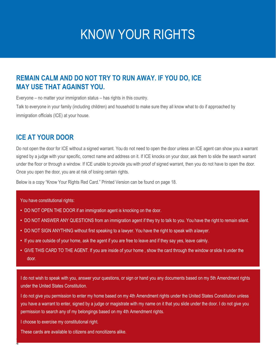# KNOW YOUR RIGHTS

## **REMAIN CALM AND DO NOT TRY TO RUN AWAY. IF YOU DO, ICE MAY USE THAT AGAINST YOU.**

Everyone – no matter your immigration status – has rights in this country.

Talk to everyone in your family (including children) and household to make sure they all know what to do if approached by immigration officials (ICE) at your house.

#### **ICE AT YOUR DOOR**

Do not open the door for ICE without a signed warrant. You do not need to open the door unless an ICE agent can show you a warrant signed by a judge with your specific, correct name and address on it. If ICE knocks on your door, ask them to slide the search warrant under the floor or through a window. If ICE unable to provide you with proof of signed warrant, then you do not have to open the door. Once you open the door, you are at risk of losing certain rights.

Below is a copy "Know Your Rights Red Card." Printed Version can be found on page 18.

You have constitutional rights:

- DO NOT OPEN THE DOOR if an immigration agent is knocking on the door.
- DO NOT ANSWER ANY QUESTIONS from an immigration agent if they try to talk to you. You have the right to remain silent.
- DO NOT SIGN ANYTHING without first speaking to a lawyer. You have the right to speak with alawyer.
- If you are outside of your home, ask the agent if you are free to leave and if they say yes, leave calmly.
- GIVE THIS CARD TO THE AGENT. If you are inside of your home , show the card through the window or slide it under the door.

I do not wish to speak with you, answer your questions, or sign or hand you any documents based on my 5th Amendment rights under the United States Constitution.

I do not give you permission to enter my home based on my 4th Amendment rights under the United States Constitution unless you have a warrant to enter, signed by a judge or magistrate with my name on it that you slide under the door. I do not give you permission to search any of my belongings based on my 4th Amendment rights.

I choose to exercise my constitutional right.

**4**

These cards are available to citizens and noncitizens alike.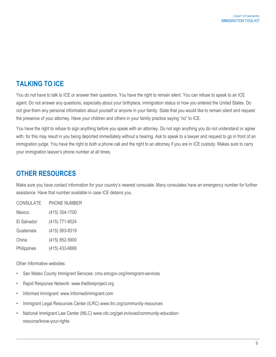# **TALKING TO ICE**

You do not have to talk to ICE or answer their questions. You have the right to remain silent. You can refuse to speak to an ICE agent. Do not answer any questions, especially about your birthplace, immigration status or how you entered the United States. Do not give them any personal information about yourself or anyone in your family. State that you would like to remain silent and request the presence of your attorney. Have your children and others in your family practice saying "no" to ICE.

You have the right to refuse to sign anything before you speak with an attorney. Do not sign anything you do not understand or agree with, for this may result in you being deported immediately without a hearing. Ask to speak to a lawyer and request to go in front of an immigration judge. You have the right to both a phone call and the right to an attorney if you are in ICE custody. Makes sure to carry your immigration lawyer's phone number at all times.

# **OTHER RESOURCES**

Make sure you have contact information for your country's nearest consulate. Many consulates have an emergency number for further assistance. Have that number available in case ICE detains you.

| <b>CONSULATE</b> | PHONE NUMBER   |
|------------------|----------------|
| Mexico           | (415) 354-1700 |
| El Salvador      | (415) 771-8524 |
| Guatemala        | (415) 563-8319 |
| China            | (415) 852-5900 |
| Philippines      | (415) 433-6666 |

Other Informative websites:

- San Mateo County Immigrant Services: cmo.smcgov.org/immigrant-services
- [Rapid Response Network: www.thelibreproject.org](http://www.thelibreproject.org/)
- [Informed Immigrant: www.Informedimmigrant.com](http://www.informedimmigrant.com/)
- [Immigrant Legal Resources Center \(ILRC\) www.Ilrc.org/community-resources](http://www.ilrc.org/community-resources)
- National Immigrant Law Center (NILC) [www.nilc.org/get.invloved/community-education](http://www.nilc.org/get.invloved/community-education-resource/know-your-rights)[resource/know-your-rights](http://www.nilc.org/get.invloved/community-education-resource/know-your-rights)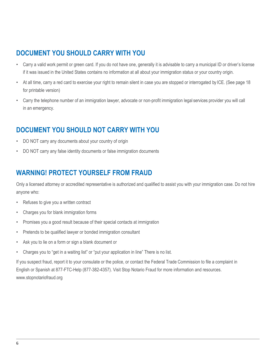# **DOCUMENT YOU SHOULD CARRY WITH YOU**

- Carry a valid work permit or green card. If you do not have one, generally it is advisable to carry a municipal ID or driver's license if it was issued in the United States contains no information at all about your immigration status or your country origin.
- At all time, carry a red card to exercise your right to remain silent in case you are stopped or interrogated by ICE. (See page 18 for printable version)
- Carry the telephone number of an immigration lawyer, advocate or non-profit immigration legal services provider you will call in an emergency.

# **DOCUMENT YOU SHOULD NOT CARRY WITH YOU**

- DO NOT carry any documents about your country of origin
- DO NOT carry any false identity documents or false immigration documents

# **WARNING! PROTECT YOURSELF FROM FRAUD**

Only a licensed attorney or accredited representative is authorized and qualified to assist you with your immigration case. Do not hire anyone who:

- Refuses to give you a written contract
- Charges you for blank immigration forms
- Promises you a good result because of their special contacts at immigration
- Pretends to be qualified lawyer or bonded immigration consultant
- Ask you to lie on a form or sign a blank document or
- Charges you to "get in a waiting list" or "put your application in line" There is no list.

If you suspect fraud, report it to your consulate or the police, or contact the Federal Trade Commission to file a complaint in English or Spanish at 877-FTC-Help (877-382-4357). Visit Stop Notario Fraud for more [information and resources.](http://www.stopnotariofraud.org/)  [www.stopnotariofraud.org](http://www.stopnotariofraud.org/)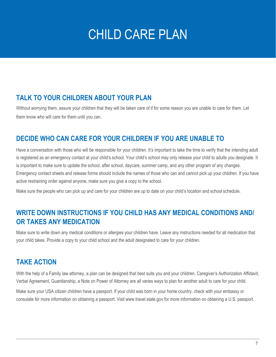# CHILD CARE PLAN

# **TALK TO YOUR CHILDREN ABOUT YOUR PLAN**

Without worrying them, assure your children that they will be taken care of if for some reason you are unable to care for them. Let them know who will care for them until you can.

# **DECIDE WHO CAN CARE FOR YOUR CHILDREN IF YOU ARE UNABLE TO**

Have a conversation with those who will be responsible for your children. It's important to take the time to verify that the intending adult is registered as an emergency contact at your child's school. Your child's school may only release your child to adults you designate. It is important to make sure to update the school, after school, daycare, summer camp, and any other program of any changes. Emergency contact sheets and release forms should include the names of those who can and cannot pick up your children. If you have active restraining order against anyone, make sure you give a copy to the school.

Make sure the people who can pick up and care for your children are up to date on your child's location and school schedule.

# **WRITE DOWN INSTRUCTIONS IF YOU CHILD HAS ANY MEDICAL CONDITIONS AND/ OR TAKES ANY MEDICATION**

Make sure to write down any medical conditions or allergies your children have. Leave any instructions needed for all medication that your child takes. Provide a copy to your child school and the adult designated to care for your children.

# **TAKE ACTION**

With the help of a Family law attorney, a plan can be designed that best suits you and your children. Caregiver's Authorization Affidavit, Verbal Agreement, Guardianship, a Note on Power of Attorney are all varies ways to plan for another adult to care for your child.

Make sure your USA citizen children have a passport. If your child was born in your home country, check with your embassy or consulate for more information on obtaining a passport. [Visit www.travel.state.gov](http://www.travel.state.gov/) for more information on obtaining a U.S. passport.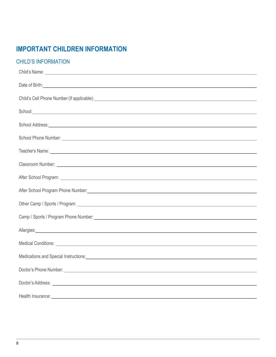# **IMPORTANT CHILDREN INFORMATION**

#### CHILD'S INFORMATION

| Child's Name: <u>experience</u> and the set of the set of the set of the set of the set of the set of the set of the set of the set of the set of the set of the set of the set of the set of the set of the set of the set of the   |
|--------------------------------------------------------------------------------------------------------------------------------------------------------------------------------------------------------------------------------------|
| Date of Birth: <u>contract the contract of the contract of the contract of the contract of the contract of the contract of the contract of the contract of the contract of the contract of the contract of the contract of the c</u> |
| Child's Cell Phone Number (If applicable): <u>example and a series of the series of the series of the series of the series of the series of the series of the series of the series of the series of the series of the series of </u> |
|                                                                                                                                                                                                                                      |
|                                                                                                                                                                                                                                      |
| School Address: <u>Communications and Communications and Communications and Communications and Communications and Communications and Communications and Communications and Communications and Communications and Communications </u> |
|                                                                                                                                                                                                                                      |
|                                                                                                                                                                                                                                      |
|                                                                                                                                                                                                                                      |
| After School Program: <u>After School Program:</u> After School Program: After School Program: After School Program: After School Program: After School Program: After School Program: After School Program: After School Program:   |
|                                                                                                                                                                                                                                      |
|                                                                                                                                                                                                                                      |
|                                                                                                                                                                                                                                      |
| Allergies: Allergies: Allergies: Allergies: Allergies: Allergies: Allergies: Allergies: Allergies: Allergies: Allergies: Allergies: Allergies: Allergies: Allergies: Allergies: Allergies: Allergies: Allergies: Allergies: Al       |
| Medical Conditions: New York Structure and Structure and Structure and Structure and Structure and Structure and Structure and Structure and Structure and Structure and Structure and Structure and Structure and Structure a       |
|                                                                                                                                                                                                                                      |
| Doctor's Phone Number: <u>example and the set of the set of the set of the set of the set of the set of the set of the set of the set of the set of the set of the set of the set of the set of the set of the set of the set of</u> |
|                                                                                                                                                                                                                                      |
|                                                                                                                                                                                                                                      |
| Health Insurance: New York Changes and Changes and Changes and Changes and Changes and Changes and Changes and Changes and Changes and Changes and Changes and Changes and Changes and Changes and Changes and Changes and Cha       |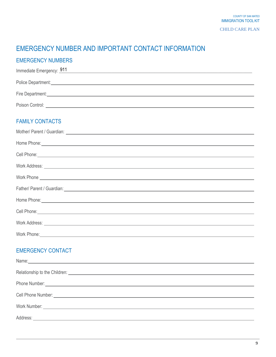CHILD CARE PLAN

# EMERGENCY NUMBER AND IMPORTANT CONTACT INFORMATION

#### EMERGENCY NUMBERS

| Immediate Emergency: 911 |                                                                                                                                                                                                                                    |
|--------------------------|------------------------------------------------------------------------------------------------------------------------------------------------------------------------------------------------------------------------------------|
|                          | Police Department: <u>contract and the product</u> of the contract of the contract of the contract of the contract of the contract of the contract of the contract of the contract of the contract of the contract of the contract |
| Fire Department:         |                                                                                                                                                                                                                                    |
| Poison Control:          |                                                                                                                                                                                                                                    |

#### FAMILY CONTACTS

| Home Phone: <u>contract the contract of the contract of the contract of the contract of the contract of the contract of the contract of the contract of the contract of the contract of the contract of the contract of the cont</u> |
|--------------------------------------------------------------------------------------------------------------------------------------------------------------------------------------------------------------------------------------|
| Cell Phone: <u>Call Phone:</u> Call Phone: Call Phone: Call Phone: Call Phone: Call Phone: Call Phone: Call Phone: Call Phone: Call Phone: Call Phone: Call Phone: Call Phone: Call Phone: Call Phone: Call Phone: Call Phone: Call  |
| Work Address: <u>www.community.com and a series of the series of the series of the series of the series of the series of the series of the series of the series of the series of the series of the series of the series of the s</u> |
| Work Phone experience and the contract of the contract of the contract of the contract of the contract of the contract of the contract of the contract of the contract of the contract of the contract of the contract of the        |
| Father/ Parent / Guardian: <u>Contractor Communication</u> Contractor Communication Contractor Communication Communication                                                                                                           |
| Home Phone: <u>contract the contract of the contract of the contract of the contract of the contract of the contract of the contract of the contract of the contract of the contract of the contract of the contract of the cont</u> |
| Cell Phone: <u>contract the contract of the contract of the contract of the contract of the contract of the contract of the contract of the contract of the contract of the contract of the contract of the contract of the cont</u> |
| Work Address: <u>Quantity and Community and Community and Community and Community and Community and Community and Community and Community and Community and Community and Community and Community and Community and Community an</u> |
| Work Phone: <u>Contract Communication</u> Contract Contract Contract Contract Contract Contract Contract Contract Contract Contract Contract Contract Contract Contract Contract Contract Contract Contract Contract Contract Contr  |
|                                                                                                                                                                                                                                      |

#### EMERGENCY CONTACT

| Relationship to the Children: New York Children Children Children Children Children Children Children Children |
|----------------------------------------------------------------------------------------------------------------|
| Phone Number: <u>December 2008</u>                                                                             |
|                                                                                                                |
|                                                                                                                |
|                                                                                                                |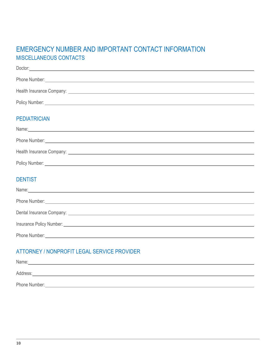# EMERGENCY NUMBER AND IMPORTANT CONTACT INFORMATION MISCELLANEOUS CONTACTS

| Doctor: <u>with the contract of the contract of the contract of the contract of the contract of the contract of the contract of the contract of the contract of the contract of the contract of the contract of the contract of </u> |
|--------------------------------------------------------------------------------------------------------------------------------------------------------------------------------------------------------------------------------------|
| Phone Number: <u>example and the second contract of the second contract of the second contract of the second contract of the second contract of the second contract of the second contract of the second contract of the second </u> |
|                                                                                                                                                                                                                                      |
| Policy Number: <u>example and the second contract of the second contract of the second contract of the second contract of the second contract of the second contract of the second contract of the second contract of the second</u> |
| <b>PEDIATRICIAN</b>                                                                                                                                                                                                                  |
| Name: <u>contract and contract and contract and contract and contract and contract and contract and contract and contract and contract and contract and contract and contract and contract and contract and contract and contrac</u> |
| Phone Number: <u>example and the second control of the second control of the second control of the second control of the second control of the second control of the second control of the second control of the second control </u> |
|                                                                                                                                                                                                                                      |
| Policy Number: <u>example and the contract of the contract of the contract of the contract of the contract of the contract of the contract of the contract of the contract of the contract of the contract of the contract of th</u> |
| <b>DENTIST</b>                                                                                                                                                                                                                       |
| Name: 2008 - 2009 - 2009 - 2009 - 2009 - 2009 - 2009 - 2009 - 2009 - 2009 - 2009 - 2009 - 2009 - 2009 - 2009 - 2009 - 2009 - 2009 - 2009 - 2009 - 2009 - 2009 - 2009 - 2009 - 2009 - 2009 - 2009 - 2009 - 2009 - 2009 - 2009 -       |
| Phone Number: <u>example and the set of the set of the set of the set of the set of the set of the set of the set of the set of the set of the set of the set of the set of the set of the set of the set of the set of the set </u> |
|                                                                                                                                                                                                                                      |
| Insurance Policy Number: <u>experience</u> and the contract of the contract of the contract of the contract of the contract of the contract of the contract of the contract of the contract of the contract of the contract of the   |
| Phone Number: <u>example and the set of the set of the set of the set of the set of the set of the set of the set of the set of the set of the set of the set of the set of the set of the set of the set of the set of the set </u> |
| ATTORNEY / NONPROFIT LEGAL SERVICE PROVIDER                                                                                                                                                                                          |

# Name: experimental and the contract of the contract of the contract of the contract of the contract of the contract of the contract of the contract of the contract of the contract of the contract of the contract of the con Address: <u>Address: Address: Address: Address: Address: Address: Address: Address: Address: Address: Address: Address: Address: Address: Address: Address: Address: Address: Address: Address: Address: Address: Address: Addre</u> Phone Number: <u>Communications of the set of the set of the set of the set of the set of the set of the set of the set of the set of the set of the set of the set of the set of the set of the set of the set of the set of th</u>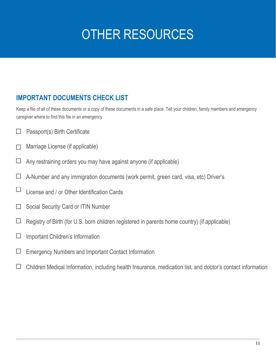# OTHER RESOURCES

# **IMPORTANT DOCUMENTS CHECK LIST**

Keep a file of all of these documents or a copy of these documents in a safe place. Tell your children, family members and emergency caregiver where to find this file in an emergency.

- Passport(s) Birth Certificate П
- Marriage License (if applicable)  $\Box$
- $\Box$ Any restraining orders you may have against anyone (if applicable)
- $\Box$ A-Number and any immigration documents (work permit, green card, visa, etc) Driver's
- $\Box$ License and / or Other Identification Cards
- Social Security Card or ITIN Number П
- $\Box$ Registry of Birth (for U.S. born children registered in parents home country) (if applicable)
- Important Children's Information  $\Box$
- Emergency Numbers and Important Contact Information  $\Box$
- $\Box$ Children Medical Information, including health Insurance, medication list, and doctor's contact information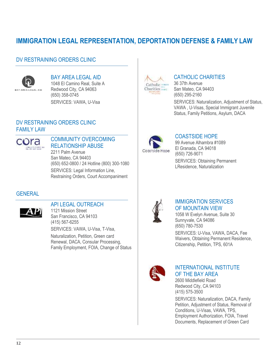# **IMMIGRATION LEGAL REPRESENTATION, DEPORTATION DEFENSE & FAMILY LAW**

#### DV RESTRAINING ORDERS CLINIC



#### BAY AREA LEGAL AID 1048 El Camino Real, Suite A Redwood City, CA 94063

(650) 358-0745 SERVICES: VAWA, U-Visa

#### DV RESTRAINING ORDERS CLINIC FAMILY LAW



#### COMMUNITY OVERCOMING RELATIONSHIP ABUSE

2211 Palm Avenue San Mateo, CA 94403 (650) 652-0800 / 24 Hotline (800) 300-1080 SERVICES: Legal Information Line, Restraining Orders, Court Accompaniment

#### **GENERAL**



#### API LEGAL OUTREACH

1121 Mission Street San Francisco, CA 94103 (415) 567-6255

SERVICES: VAWA, U-Visa, T-Visa, Naturalization, Petition, Green card Renewal, DACA, Consular Processing, Family Employment, FOIA, Change of Status



#### CATHOLIC CHARITIES

36 37th Avenue San Mateo, CA 94403 (650) 295-2160 SERVICES: Naturalization, Adjustment of Status, VAWA , U-Visas, Special Immigrant Juvenile Status, Family Petitions, Asylum, DACA



#### COASTSIDE HOPE

99 Avenue Alhambra #1089 El Granada, CA 94018 (650) 726-9071 SERVICES: Obtaining Permanent LResidence, Naturalization



#### IMMIGRATION SERVICES OF MOUNTAIN VIEW

1058 W Evelyn Avenue, Suite 30 Sunnyvale, CA 94086 (650) 780-7530 SERVICES: U-Visa, VAWA, DACA, Fee Waivers, Obtaining Permanent Residence,

Citizenship, Petition, TPS, 601A



#### INTERNATIONAL INSTITUTE OF THE BAY AREA

2600 Middlefield Road Redwood City, CA 94103 (415) 575-3500 SERVICES: Naturalization, DACA, Family Petition, Adjustment of Status, Removal of Conditions, U-Visas, VAWA, TPS, Employment Authorization, FOIA, Travel Documents, Replacement of Green Card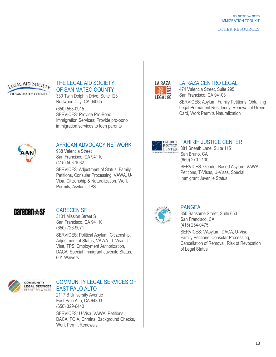#### OTHER RESOURCES



#### THE LEGAL AID SOCIETY OF SAN MATEO COUNTY

330 Twin Dolphin Drive, Suite 123 Redwood City, CA 94065 (650) 558-0915 SERVICES: Provide Pro-Bono Immigration Services: Provide pro-bono immigration services to teen parents



#### AFRICAN ADVOCACY NETWORK

938 Valencia Street San Francisco, CA 94110 (415) 503-1032

SERVICES: Adjustment of Status, Family Petitions, Consular Processing, VAWA, U-Visa, Citizenship & Naturalization, Work Permits, Asylum, TPS

# **Carecen \*sf**

### CARECEN SF

3101 Mission Street S San Francisco, CA 94110 (650) 726-9071 SERVICES: Political Asylum, Citizenship, Adjustment of Status, VAWA , T-Visa, U-Visa, TPS, Employment Authorization, DACA, Special Immigrant Juvenile Status, 601 Waivers



#### COMMUNITY LEGAL SERVICES OF EAST PALO ALTO

2117 B University Avenue East Palo Alto, CA 94303 (650) 329-6440 SERVICES: U-Visa, VAWA, Petitions, DACA, FOIA, Criminal Background Checks, Work Permit Renewals



#### LA RAZA CENTRO LEGAL

474 Valencia Street, Suite 295 San Francisco, CA 94103 SERVICES: Asylum, Family Petitions, Obtaining Legal Permanent Residency, Renewal of Green Card, Work Permits Naturalization



#### TAHIRIH JUSTICE CENTER

**IUSTICE** 17 N. H. H. L. SUUR LOWE U. San Bruno, CA (650) 270-2100 SERVICES: Gender-Based Asylum, VAWA Petitions, T-Visas, U-Visas, Special Immigrant Juvenile Status



#### PANGEA

350 Sansome Street, Suite 650 San Francisco, CA (415) 254-0475

SERVICES: VAsylum, DACA, U-Visa, Family Petitions, Consular Processing, Cancellation of Removal, Risk of Revocation of Legal Status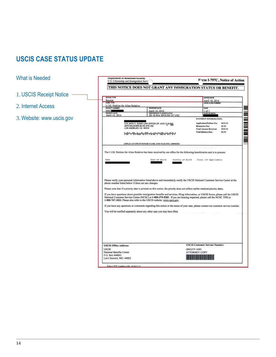# **USCIS CASE STATUS UPDATE**

What is Needed

- 1. USCIS Receipt Notice -
- 2. Internet Access
- 3.[Website: www.uscis.gov](http://www.uscis.gov/)

| MOTICE TYPE<br>Receipt<br><b>CASE TYPE</b>                                                                                                         |                                                                                                                                                                                                         | NOTICE DATE<br>April 16, 2014                                                                                                                                                                                                                                                                                                                                                             |
|----------------------------------------------------------------------------------------------------------------------------------------------------|---------------------------------------------------------------------------------------------------------------------------------------------------------------------------------------------------------|-------------------------------------------------------------------------------------------------------------------------------------------------------------------------------------------------------------------------------------------------------------------------------------------------------------------------------------------------------------------------------------------|
| I-130, Petition for Alien Relative                                                                                                                 |                                                                                                                                                                                                         |                                                                                                                                                                                                                                                                                                                                                                                           |
| RECEIPT MUMBER<br>MSCH                                                                                                                             | <b>RECOVED DATE</b><br>April 14, 2014                                                                                                                                                                   | 75.00<br>1 of 1                                                                                                                                                                                                                                                                                                                                                                           |
| <b>PROGREY GATE</b><br>April 14, 2014                                                                                                              | <b>FREEERSHOTS</b><br><b>FT ASSIS</b>                                                                                                                                                                   | <b>DATE OF BRTH</b>                                                                                                                                                                                                                                                                                                                                                                       |
|                                                                                                                                                    | 201 B INA SPOUSE OF USC                                                                                                                                                                                 | PAYMENT INFORMATION:                                                                                                                                                                                                                                                                                                                                                                      |
|                                                                                                                                                    | C/O JACK C. SUNG LAW OFFICE OF JACK C SUNG<br>2975 WILSHIRE BLVD STE 352<br>LOS ANGELES, CA. 90010<br><u>իլիեթկիրնանավներիցներեկիրելի ն</u> եր                                                          | Application/Petition Fee:<br>\$420.00<br><b>Riometrics Fee:</b><br>\$0.00<br><b>Total Amount Received:</b><br>\$420.00<br><b>Total Balance Due:</b><br>\$0.00                                                                                                                                                                                                                             |
|                                                                                                                                                    | APPLICANT/PETITIONER NAME AND MAILING ADDRESS                                                                                                                                                           |                                                                                                                                                                                                                                                                                                                                                                                           |
|                                                                                                                                                    |                                                                                                                                                                                                         |                                                                                                                                                                                                                                                                                                                                                                                           |
|                                                                                                                                                    | Please note that if a priority date is printed on this notice, the priority does not reflect earlier retained priority dates.<br>1-800-767-1833. Please also refer to the USCIS website: www.uscis.gov. | Please verify your personal information listed above and immediately notify the USCIS National Customer Service Center at the<br>If you have questions about possible immigration benefits and services, filing information, or USCIS forms, please call the USCIS<br>National Customer Service Center (NCSC) at 1-800-375-5283. If you are hearing impaired, please call the NCSC TDD at |
|                                                                                                                                                    | You will be notified separately about any other case you may have filed.                                                                                                                                |                                                                                                                                                                                                                                                                                                                                                                                           |
| phone number listed below if there are any changes.<br><b>USCIS Office Address:</b><br><b>USCIS</b><br>National Benefits Center<br>P.O. Box 648003 |                                                                                                                                                                                                         | If you have any questions or comments regarding this notice or the status of your case, please contact our customer service number.<br><b>USCIS Customer Service Number:</b><br>(800)375-5283<br><b>ATTORNEY COPY</b>                                                                                                                                                                     |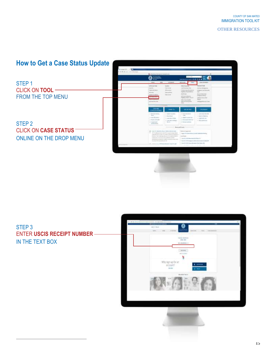#### OTHER RESOURCES

# **How to Get a Case Status Update**

STEP 1 CLICK ON **TOOL** FROM THE TOP MENU

STEP 2 CLICK ON **CASE STATUS** ONLINE ON THE DROP MENU





#### STEP 3 ENTER **USCIS RECEIPT NUMBER** IN THE TEXT BOX



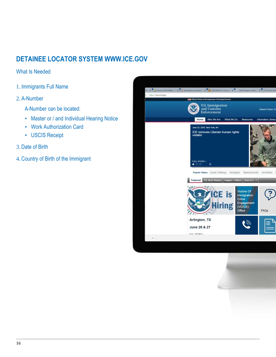# **DETAINEE LOCATOR SYSTEM [WWW.ICE.GOV](http://www.ice.gov/)**

#### What Is Needed

1. Immigrants Full Name

#### 2. A-Number

- A-Number can be located:
- Master or / and Individual Hearing Notice
- Work Authorization Card
- USCIS Receipt

#### 3.Date of Birth

4.Country of Birth of the Immigrant

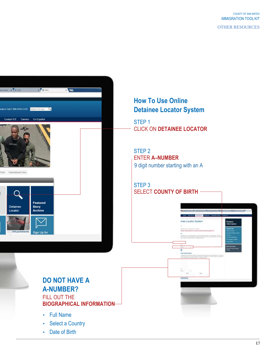COUNTY OF SAN MATEO IMMIGRATION TOOL KIT

OTHER RESOURCES

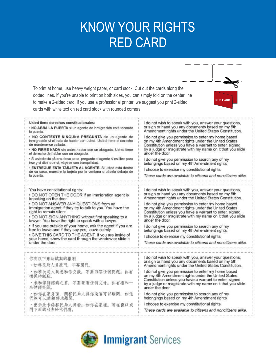# KNOW YOUR RIGHTS RED CARD

To print at home, use heavy weight paper, or card stock. Cut out the cards along the dotted lines. If you're unable to print on both sides, you can simply fold on the center line to make a 2-sided card. If you use a professional printer, we suggest you print 2-sided cards with white text on red card stock with rounded corners.



| Usted tiene derechos constitucionales:                                                                                                          | I do not wish to speak with you, answer your questions,<br>or sign or hand you any documents based on my 5th                                                                                                                                                                                                                                                                                                                                                          |  |
|-------------------------------------------------------------------------------------------------------------------------------------------------|-----------------------------------------------------------------------------------------------------------------------------------------------------------------------------------------------------------------------------------------------------------------------------------------------------------------------------------------------------------------------------------------------------------------------------------------------------------------------|--|
| · NO ABRA LA PUERTA si un agente de inmigración está tocando<br>la puerta.                                                                      | Amendment rights under the United States Constitution.<br>I do not give you permission to enter my home based<br>on my 4th Amendment rights under the United States<br>Constitution unless you have a warrant to enter, signed<br>by a judge or magistrate with my name on it that you slide<br>under the door.<br>I do not give you permission to search any of my<br>belongings based on my 4th Amendment rights.<br>I choose to exercise my constitutional rights. |  |
| · NO CONTESTE NINGUNA PREGUNTA de un agente de<br>inmigración si el trata de hablar con usted. Usted tiene el derecho<br>de mantenerse callado. |                                                                                                                                                                                                                                                                                                                                                                                                                                                                       |  |
| . NO FIRME NADA sin antes hablar con un abogado. Usted tiene<br>el derecho de hablar con un abogado.                                            |                                                                                                                                                                                                                                                                                                                                                                                                                                                                       |  |
| · Si usted està afuera de su casa, pregunte al agente si es libre para<br>irse y si dice que si, váyase con tranquilidad.                       |                                                                                                                                                                                                                                                                                                                                                                                                                                                                       |  |
| - ENTREGUE ESTA TARJETA AL AGENTE. Si usted está dentro<br>de su casa, muestre la tarjeta por la ventana o pásela debajo de                     |                                                                                                                                                                                                                                                                                                                                                                                                                                                                       |  |
| la puerta.                                                                                                                                      | These cards are available to citizens and noncitizens alike.                                                                                                                                                                                                                                                                                                                                                                                                          |  |
| You have constitutional rights:                                                                                                                 | I do not wish to speak with you, answer your questions,                                                                                                                                                                                                                                                                                                                                                                                                               |  |
| . DO NOT OPEN THE DOOR if an immigration agent is<br>knocking on the door.                                                                      | or sign or hand you any documents based on my 5th<br>Amendment rights under the United States Constitution.                                                                                                                                                                                                                                                                                                                                                           |  |
| . DO NOT ANSWER ANY QUESTIONS from an<br>immigration agent if they try to talk to you. You have the<br>right to remain silent.                  | I do not give you permission to enter my home based<br>on my 4th Amendment rights under the United States<br>Constitution unless you have a warrant to enter, signed                                                                                                                                                                                                                                                                                                  |  |
| . DO NOT SIGN ANYTHING without first speaking to a<br>lawyer. You have the right to speak with a lawyer.                                        | by a judge or magistrate with my name on it that you slide<br>under the door.                                                                                                                                                                                                                                                                                                                                                                                         |  |
| . If you are outside of your home, ask the agent if you are<br>free to leave and if they say yes, leave calmly.                                 | I do not give you permission to search any of my<br>belongings based on my 4th Amendment rights.                                                                                                                                                                                                                                                                                                                                                                      |  |
| • GIVE THIS CARD TO THE AGENT. If you are inside of<br>your home, show the card through the window or slide it                                  | I choose to exercise my constitutional rights.                                                                                                                                                                                                                                                                                                                                                                                                                        |  |
| under the door.                                                                                                                                 | These cards are available to citizens and noncitizens alike.                                                                                                                                                                                                                                                                                                                                                                                                          |  |
| 你有以下萧法赋與的權利:                                                                                                                                    | I do not wish to speak with you, answer your questions,                                                                                                                                                                                                                                                                                                                                                                                                               |  |
| ・如移民局人員敲門、不要開門。                                                                                                                                 | or sign or hand you any documents based on my 5th<br>Amendment rights under the United States Constitution.                                                                                                                                                                                                                                                                                                                                                           |  |
| ・如移民局人員想和你交談、不要回答任何問題。你有<br>權保持緘默。                                                                                                              | I do not give you permission to enter my home based<br>on my 4th Amendment rights under the United States<br>Constitution unless you have a warrant to enter, signed<br>by a judge or magistrate with my name on it that you slide<br>under the door.                                                                                                                                                                                                                 |  |
| ・未和律師諮詢之前,不要簽署任何文件。你有權和一<br>名律師交談。                                                                                                              |                                                                                                                                                                                                                                                                                                                                                                                                                                                                       |  |
| ・如你在家外面,問移民局人員你是否可以離開,如他<br>們答可以請鎮靜地離開。                                                                                                         | I do not give you permission to search any of my<br>belongings based on my 4th Amendment rights.                                                                                                                                                                                                                                                                                                                                                                      |  |
| ・出示此卡給移民局人員看。如你在家裡。可在窗口或                                                                                                                        | I choose to exercise my constitutional rights.                                                                                                                                                                                                                                                                                                                                                                                                                        |  |
| 門下面遞出去給他們看。                                                                                                                                     | These cards are available to citizens and noncitizens alike.                                                                                                                                                                                                                                                                                                                                                                                                          |  |